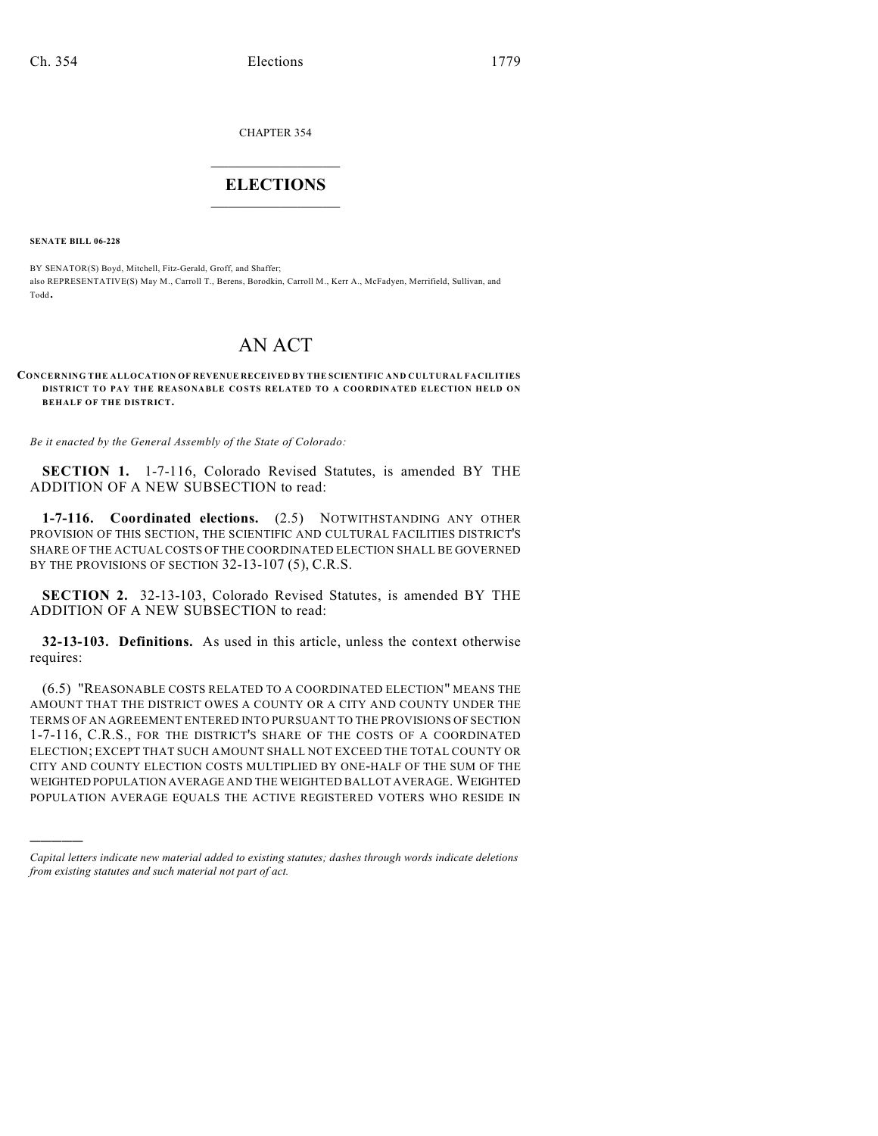CHAPTER 354

## $\overline{\phantom{a}}$  . The set of the set of the set of the set of the set of the set of the set of the set of the set of the set of the set of the set of the set of the set of the set of the set of the set of the set of the set o **ELECTIONS**  $\_$

**SENATE BILL 06-228**

)))))

BY SENATOR(S) Boyd, Mitchell, Fitz-Gerald, Groff, and Shaffer; also REPRESENTATIVE(S) May M., Carroll T., Berens, Borodkin, Carroll M., Kerr A., McFadyen, Merrifield, Sullivan, and Todd.

## AN ACT

## **CONCERNING THE ALLOCATION OF REVENUE RECEIVED BY THE SCIENTIFIC AND CULTURAL FACILITIES DISTRICT TO PAY THE REASONABLE COSTS RELATED TO A COORDINATED ELECTION HELD ON BEHALF OF THE DISTRICT.**

*Be it enacted by the General Assembly of the State of Colorado:*

**SECTION 1.** 1-7-116, Colorado Revised Statutes, is amended BY THE ADDITION OF A NEW SUBSECTION to read:

**1-7-116. Coordinated elections.** (2.5) NOTWITHSTANDING ANY OTHER PROVISION OF THIS SECTION, THE SCIENTIFIC AND CULTURAL FACILITIES DISTRICT'S SHARE OF THE ACTUAL COSTS OF THE COORDINATED ELECTION SHALL BE GOVERNED BY THE PROVISIONS OF SECTION 32-13-107 (5), C.R.S.

**SECTION 2.** 32-13-103, Colorado Revised Statutes, is amended BY THE ADDITION OF A NEW SUBSECTION to read:

**32-13-103. Definitions.** As used in this article, unless the context otherwise requires:

(6.5) "REASONABLE COSTS RELATED TO A COORDINATED ELECTION" MEANS THE AMOUNT THAT THE DISTRICT OWES A COUNTY OR A CITY AND COUNTY UNDER THE TERMS OF AN AGREEMENT ENTERED INTO PURSUANT TO THE PROVISIONS OF SECTION 1-7-116, C.R.S., FOR THE DISTRICT'S SHARE OF THE COSTS OF A COORDINATED ELECTION; EXCEPT THAT SUCH AMOUNT SHALL NOT EXCEED THE TOTAL COUNTY OR CITY AND COUNTY ELECTION COSTS MULTIPLIED BY ONE-HALF OF THE SUM OF THE WEIGHTED POPULATION AVERAGE AND THE WEIGHTED BALLOT AVERAGE. WEIGHTED POPULATION AVERAGE EQUALS THE ACTIVE REGISTERED VOTERS WHO RESIDE IN

*Capital letters indicate new material added to existing statutes; dashes through words indicate deletions from existing statutes and such material not part of act.*